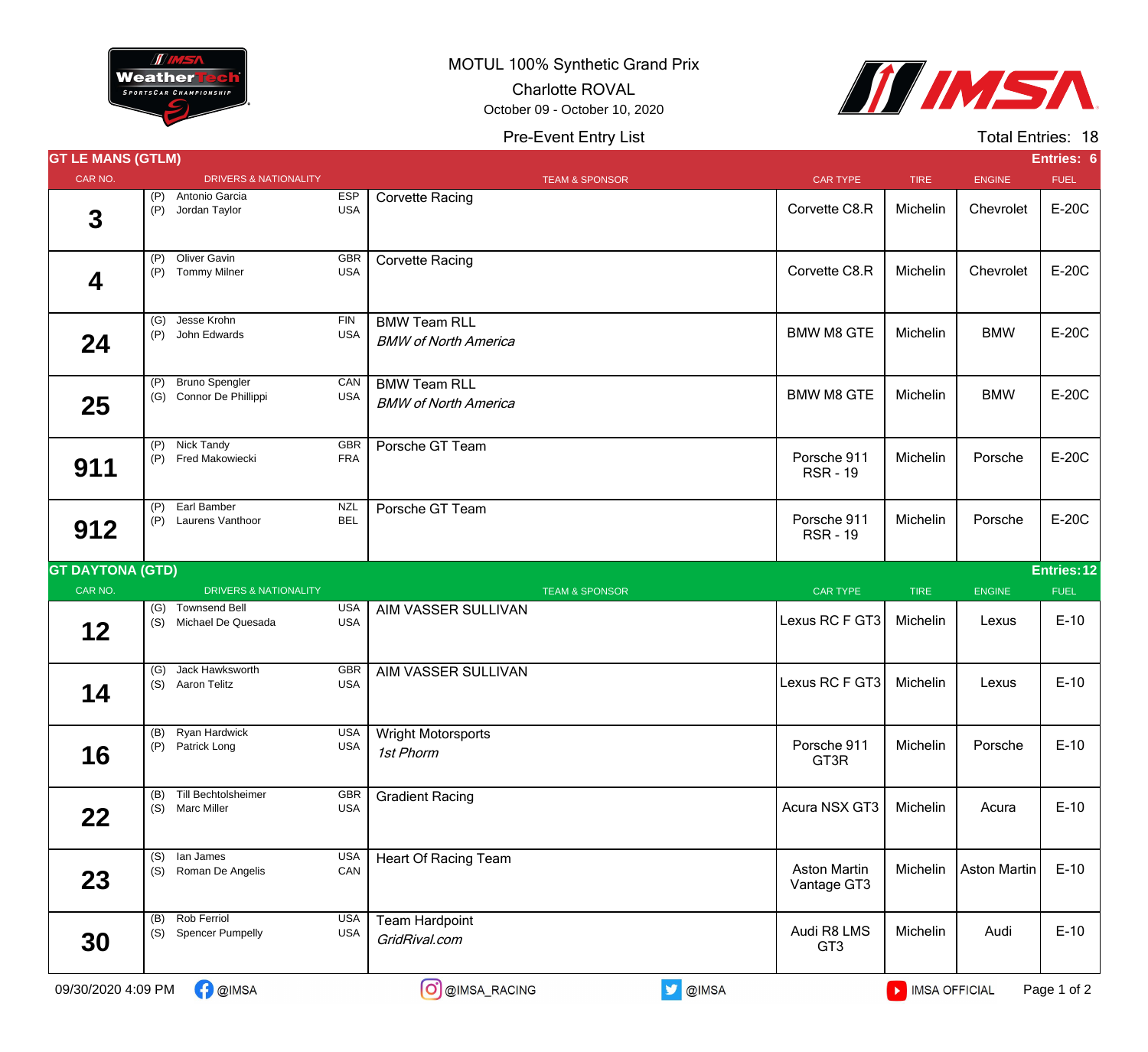

MOTUL 100% Synthetic Grand Prix

Charlotte ROVAL

October 09 - October 10, 2020





|     |                                   |                                                                                                                                                                                                                                                                                                                                                                                                    |                                                                                    |                                    |             |                     | Entries: 6  |
|-----|-----------------------------------|----------------------------------------------------------------------------------------------------------------------------------------------------------------------------------------------------------------------------------------------------------------------------------------------------------------------------------------------------------------------------------------------------|------------------------------------------------------------------------------------|------------------------------------|-------------|---------------------|-------------|
|     |                                   |                                                                                                                                                                                                                                                                                                                                                                                                    | <b>TEAM &amp; SPONSOR</b>                                                          | <b>CAR TYPE</b>                    | <b>TIRE</b> | <b>ENGINE</b>       | <b>FUEL</b> |
| (P) | Antonio Garcia                    | <b>USA</b>                                                                                                                                                                                                                                                                                                                                                                                         | <b>Corvette Racing</b>                                                             | Corvette C8.R                      | Michelin    | Chevrolet           | E-20C       |
|     |                                   | GBR<br><b>USA</b>                                                                                                                                                                                                                                                                                                                                                                                  | <b>Corvette Racing</b>                                                             | Corvette C8.R                      | Michelin    | Chevrolet           | E-20C       |
|     | Jesse Krohn                       | <b>FIN</b><br><b>USA</b>                                                                                                                                                                                                                                                                                                                                                                           | <b>BMW Team RLL</b><br><b>BMW of North America</b>                                 | <b>BMW M8 GTE</b>                  | Michelin    | <b>BMW</b>          | E-20C       |
|     |                                   | CAN<br><b>USA</b>                                                                                                                                                                                                                                                                                                                                                                                  | <b>BMW Team RLL</b><br><b>BMW of North America</b>                                 | <b>BMW M8 GTE</b>                  | Michelin    | <b>BMW</b>          | E-20C       |
|     |                                   | GBR<br><b>FRA</b>                                                                                                                                                                                                                                                                                                                                                                                  | Porsche GT Team                                                                    | Porsche 911<br><b>RSR-19</b>       | Michelin    | Porsche             | E-20C       |
| (P) | Earl Bamber                       | <b>NZL</b><br><b>BEL</b>                                                                                                                                                                                                                                                                                                                                                                           | Porsche GT Team                                                                    | Porsche 911<br><b>RSR-19</b>       | Michelin    | Porsche             | E-20C       |
|     |                                   |                                                                                                                                                                                                                                                                                                                                                                                                    |                                                                                    |                                    |             |                     | Entries: 12 |
|     |                                   |                                                                                                                                                                                                                                                                                                                                                                                                    | <b>TEAM &amp; SPONSOR</b>                                                          | <b>CAR TYPE</b>                    | <b>TIRE</b> | ENGINE              | <b>FUEL</b> |
| (S) |                                   | <b>USA</b><br><b>USA</b>                                                                                                                                                                                                                                                                                                                                                                           | AIM VASSER SULLIVAN                                                                | Lexus RC F GT3                     | Michelin    | Lexus               | $E-10$      |
| (G) | Jack Hawksworth                   | GBR<br><b>USA</b>                                                                                                                                                                                                                                                                                                                                                                                  | AIM VASSER SULLIVAN                                                                |                                    | Michelin    | Lexus               | $E-10$      |
|     |                                   | <b>USA</b><br><b>USA</b>                                                                                                                                                                                                                                                                                                                                                                           | <b>Wright Motorsports</b><br>1st Phorm                                             | Porsche 911<br>GT3R                | Michelin    | Porsche             | $E-10$      |
|     | Till Bechtolsheimer               | GBR<br><b>USA</b>                                                                                                                                                                                                                                                                                                                                                                                  | <b>Gradient Racing</b>                                                             | Acura NSX GT3                      | Michelin    | Acura               | $E-10$      |
|     |                                   |                                                                                                                                                                                                                                                                                                                                                                                                    |                                                                                    |                                    |             |                     |             |
| (S) | lan James<br>(S) Roman De Angelis | <b>USA</b><br>CAN                                                                                                                                                                                                                                                                                                                                                                                  | <b>Heart Of Racing Team</b>                                                        | <b>Aston Martin</b><br>Vantage GT3 | Michelin    | <b>Aston Martin</b> | $E-10$      |
|     |                                   | <b>GT LE MANS (GTLM)</b><br>(P) Jordan Taylor<br>(P) Oliver Gavin<br>(P) Tommy Milner<br>(G)<br>(P) John Edwards<br>(P) Bruno Spengler<br>(G) Connor De Phillippi<br>(P) Nick Tandy<br>(P) Fred Makowiecki<br>Laurens Vanthoor<br>(P)<br><b>GT DAYTONA (GTD)</b><br>(G) Townsend Bell<br>Michael De Quesada<br>(S) Aaron Telitz<br>(B) Ryan Hardwick<br>(P) Patrick Long<br>(B)<br>(S) Marc Miller | <b>DRIVERS &amp; NATIONALITY</b><br><b>ESP</b><br><b>DRIVERS &amp; NATIONALITY</b> |                                    |             | Lexus RC F GT3      |             |